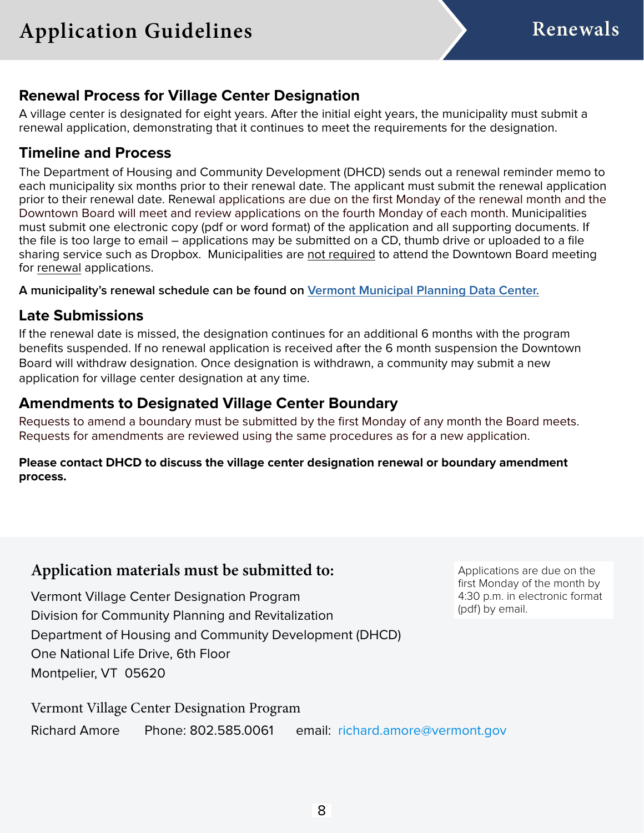### **Renewal Process for Village Center Designation**

A village center is designated for eight years. After the initial eight years, the municipality must submit a renewal application, demonstrating that it continues to meet the requirements for the designation.

## **Timeline and Process**

The Department of Housing and Community Development (DHCD) sends out a renewal reminder memo to each municipality six months prior to their renewal date. The applicant must submit the renewal application prior to their renewal date. Renewal applications are due on the first Monday of the renewal month and the Downtown Board will meet and review applications on the fourth Monday of each month. Municipalities must submit one electronic copy (pdf or word format) of the application and all supporting documents. If the file is too large to email – applications may be submitted on a CD, thumb drive or uploaded to a file sharing service such as Dropbox. Municipalities are not required to attend the Downtown Board meeting for renewal applications.

**A municipality's renewal schedule can be found on [Vermont Municipal Planning Data Center.](https://accdmaps.vermont.gov/MunicipalPlanningDataCenter/DesignatedAreas)**

## **Late Submissions**

If the renewal date is missed, the designation continues for an additional 6 months with the program benefits suspended. If no renewal application is received after the 6 month suspension the Downtown Board will withdraw designation. Once designation is withdrawn, a community may submit a new application for village center designation at any time.

## **Amendments to Designated Village Center Boundary**

Requests to amend a boundary must be submitted by the first Monday of any month the Board meets. Requests for amendments are reviewed using the same procedures as for a new application.

#### **Please contact DHCD to discuss the village center designation renewal or boundary amendment process.**

## **Application materials must be submitted to:**

Vermont Village Center Designation Program Division for Community Planning and Revitalization Department of Housing and Community Development (DHCD) One National Life Drive, 6th Floor Montpelier, VT 05620

Applications are due on the first Monday of the month by 4:30 p.m. in electronic format (pdf) by email.

Vermont Village Center Designation Program

Richard Amore Phone: 802.585.0061 email: [richard.amore@vermont.gov](mailto:richard.amore%40vermont.gov?subject=Village%20Center%20Designation)